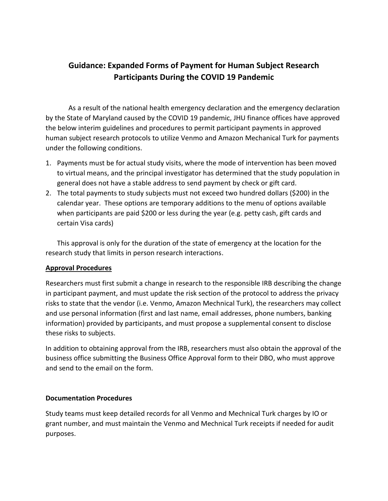# **Guidance: Expanded Forms of Payment for Human Subject Research Participants During the COVID 19 Pandemic**

As a result of the national health emergency declaration and the emergency declaration by the State of Maryland caused by the COVID 19 pandemic, JHU finance offices have approved the below interim guidelines and procedures to permit participant payments in approved human subject research protocols to utilize Venmo and Amazon Mechanical Turk for payments under the following conditions.

- 1. Payments must be for actual study visits, where the mode of intervention has been moved to virtual means, and the principal investigator has determined that the study population in general does not have a stable address to send payment by check or gift card.
- 2. The total payments to study subjects must not exceed two hundred dollars (\$200) in the calendar year. These options are temporary additions to the menu of options available when participants are paid \$200 or less during the year (e.g. petty cash, gift cards and certain Visa cards)

This approval is only for the duration of the state of emergency at the location for the research study that limits in person research interactions.

# **Approval Procedures**

Researchers must first submit a change in research to the responsible IRB describing the change in participant payment, and must update the risk section of the protocol to address the privacy risks to state that the vendor (i.e. Venmo, Amazon Mechnical Turk), the researchers may collect and use personal information (first and last name, email addresses, phone numbers, banking information) provided by participants, and must propose a supplemental consent to disclose these risks to subjects.

In addition to obtaining approval from the IRB, researchers must also obtain the approval of the business office submitting the Business Office Approval form to their DBO, who must approve and send to the email on the form.

#### **Documentation Procedures**

Study teams must keep detailed records for all Venmo and Mechnical Turk charges by IO or grant number, and must maintain the Venmo and Mechnical Turk receipts if needed for audit purposes.